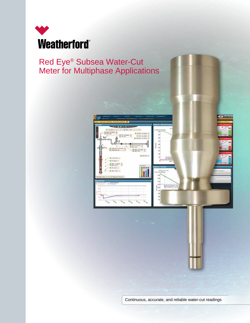

# Red Eye® Subsea Water-Cut Meter for Multiphase Applications



Continuous, accurate, and reliable water-cut readings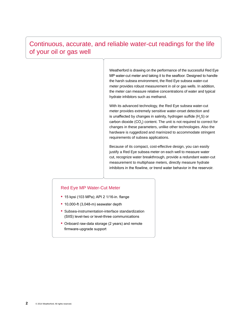## Continuous, accurate, and reliable water-cut readings for the life of your oil or gas well

Weatherford is drawing on the performance of the successful Red Eye MP water-cut meter and taking it to the seafloor. Designed to handle the harsh subsea environment, the Red Eye subsea water-cut meter provides robust measurement in oil or gas wells. In addition, the meter can measure relative concentrations of water and typical hydrate inhibitors such as methanol.

With its advanced technology, the Red Eye subsea water-cut meter provides extremely sensitive water-onset detection and is unaffected by changes in salinity, hydrogen sulfide (H<sub>2</sub>S) or carbon dioxide (CO<sub>2</sub>) content. The unit is not required to correct for changes in these parameters, unlike other technologies. Also the hardware is ruggedized and marinized to accommodate stringent requirements of subsea applications.

Because of its compact, cost-effective design, you can easily justify a Red Eye subsea meter on each well to measure water cut, recognize water breakthrough, provide a redundant water-cut measurement to multiphase meters, directly measure hydrate inhibitors in the flowline, or trend water behavior in the reservoir.

#### Red Eye MP Water-Cut Meter

- 15 kpsi (103 MPa); API 2 1/16-in. flange
- 10,000-ft (3,048-m) seawater depth
- Subsea-instrumentation-interface standardization (SIIS) level-two or level-three communications
- Onboard raw-data storage (2 years) and remote firmware-upgrade support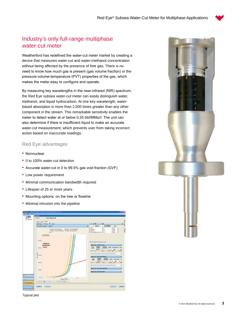

## Industry's only full-range multiphase water-cut meter

Weatherford has redefined the water-cut meter market by creating a device that measures water-cut and water-methanol concentration without being affected by the presence of free gas. There is no need to know how much gas is present (gas volume fraction) or the pressure-volume-temperature (PVT) properties of the gas, which makes the meter easy to configure and operate.

By measuring key wavelengths in the near-infrared (NIR) spectrum, the Red Eye subsea water-cut meter can easily distinguish water, methanol, and liquid hydrocarbon. At one key wavelength, waterbased absorption is more than 2,500 times greater than any other component in the stream. This remarkable sensitivity enables the meter to detect water at or below 0.25 bbl/MMscf. The unit can also determine if there is insufficient liquid to make an accurate water-cut measurement, which prevents user from taking incorrect action based on inaccurate readings.

#### Red Eye advantages

- Nonnuclear
- 0 to 100% water-cut detection
- Accurate water-cut in 0 to 99.5% gas void fraction (GVF)
- Low power requirement
- Minimal communication bandwidth required
- Lifespan of 25 or more years
- Mounting options: on the tree or flowline
- Minimal intrusion into the pipeline



Typical plot

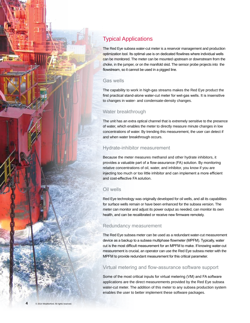

## Typical Applications

The Red Eye subsea water-cut meter is a reservoir management and production optimization tool. Its optimal use is on dedicated flowlines where individual wells can be monitored. The meter can be mounted upstream or downstream from the choke, in the jumper, or on the manifold skid. The sensor probe projects into the flowstream, so it cannot be used in a pigged line.

#### Gas wells

The capability to work in high-gas streams makes the Red Eye product the first practical stand-alone water-cut meter for wet-gas wells. It is insensitive to changes in water- and condensate-density changes.

### Water breakthrough

The unit has an extra optical channel that is extremely sensitive to the presence of water, which enables the meter to directly measure minute changes in low concentrations of water. By trending this measurement, the user can detect if and when water breakthrough occurs.

#### Hydrate-inhibitor measurement

Because the meter measures methanol and other hydrate inhibitors, it provides a valuable part of a flow-assurance (FA) solution. By monitoring relative concentrations of oil, water, and inhibitor, you know if you are injecting too much or too little inhibitor and can implement a more efficient and cost-effective FA solution.

### Oil wells

Red Eye technology was originally developed for oil wells, and all its capabilities for surface wells remain or have been enhanced for the subsea version. The meter can monitor and adjust its power output as needed, can monitor its own health, and can be recalibrated or receive new firmware remotely.

#### Redundancy measurement

The Red Eye subsea meter can be used as a redundant water-cut measurement device as a backup to a subsea multiphase flowmeter (MPFM). Typically, water cut is the most difficult measurement for an MPFM to make. If knowing water-cut measurement is crucial, an operator can use the Red Eye subsea meter with the MPFM to provide redundant measurement for this critical parameter.

#### Virtual metering and flow-assurance software support

Some of the most critical inputs for virtual metering (VM) and FA software applications are the direct measurements provided by the Red Eye subsea water-cut meter. The addition of this meter to any subsea production system enables the user to better implement these software packages.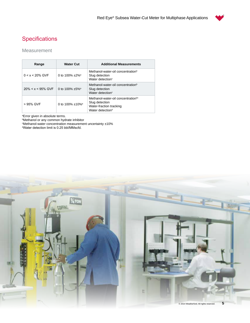# **Specifications**

## Measurement

| Range                 | <b>Water Cut</b>                 | <b>Additional Measurements</b>                                                                                              |
|-----------------------|----------------------------------|-----------------------------------------------------------------------------------------------------------------------------|
| $0 < x < 20\%$ GVF    | 0 to 100% $\pm$ 2% <sup>a</sup>  | Methanol-water-oil concentration <sup>b</sup><br>Slug detection<br>Water detection <sup>c</sup>                             |
| $20\% < x < 95\%$ GVF | 0 to 100% $\pm$ 5% <sup>a</sup>  | Methanol-water-oil concentration <sup>b</sup><br>Slug detection<br>Water detection <sup>c</sup>                             |
| > 95% GVF             | 0 to 100% $\pm$ 10% <sup>a</sup> | Methanol-water-oil concentration <sup>bc</sup><br>Slug detection<br>Water-fraction tracking<br>Water detection <sup>d</sup> |

ªError given in absolute terms.<br>ʰMethanol or any common hydrate inhibitor

c Methanol-water concentration measurement uncertainty ±10% d Water detection limit is 0.25 bbl/MMscfd.

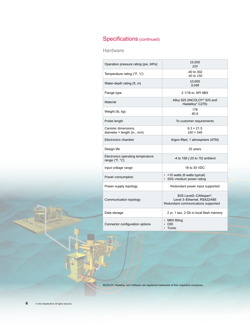# Specifications (continued)

Hardware

| Operation pressure rating (psi, MPa)                          | 15,000<br>103                                                                                           |
|---------------------------------------------------------------|---------------------------------------------------------------------------------------------------------|
| Temperature rating (°F, °C)                                   | -40 to 302<br>$-40$ to $150$                                                                            |
| Water-depth rating (ft, m)                                    | 10,000<br>3,048                                                                                         |
| Flange type                                                   | 2 1/16-in. API 6BX                                                                                      |
| Material                                                      | Alloy 925 (INCOLOY <sup>®</sup> 925 and<br>Hastelloy® C276)                                             |
| Weight (lb, kg)                                               | 178<br>80.8                                                                                             |
| Probe length                                                  | To customer requirements                                                                                |
| Canister dimensions,<br>diameter $\times$ length (in., $mm$ ) | $6.3 \times 21.5$<br>$160 \times 546$                                                                   |
| Electronics chamber                                           | Argon filled, 1 atmosphere (ATM)                                                                        |
| Design life                                                   | 25 years                                                                                                |
| Electronics operating temperature                             |                                                                                                         |
| range (°F, °C)                                                | -4 to 158 (-20 to 70) ambient                                                                           |
| Input voltage range                                           | 18 to 30 VDC                                                                                            |
| Power consumption                                             | • < 10 watts (6 watts typical)<br>• SIIS-medium power rating                                            |
| Power-supply topology                                         | Redundant power input supported                                                                         |
| Communication topology                                        | SIIS Level2-CANopen <sup>®</sup> ,<br>Level 3-Ethernet. RS422/485<br>Redundant communications supported |
| Data storage                                                  | 2 yr, 1 sec, 2 Gb in local flash memory                                                                 |

INCOLOY, Hastelloy, and CANopen are registered trademarks of their respective companies.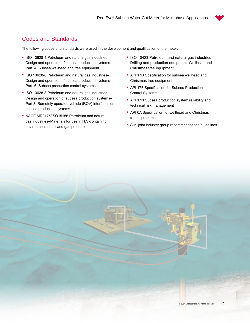

## Codes and Standards

The following codes and standards were used in the development and qualification of the meter.

- ISO 13628-4 Petroleum and natural gas industries– Design and operation of subsea production systems– Part 4: Subsea wellhead and tree equipment
- ISO 13628-6 Petroleum and natural gas industries– Design and operation of subsea production systems– Part 6: Subsea production control systems
- ISO 13628-8 Petroleum and natural gas industries– Design and operation of subsea production systems– Part 8: Remotely operated vehicle (ROV) interfaces on subsea production systems
- NACE MR0175/ISO15156 Petroleum and natural gas industries–Materials for use in  $\mathsf{H}_2$ S-containing environments in oil and gas production
- ISO 10423 Petroleum and natural gas industries– Drilling and production equipment–Wellhead and Christmas tree equipment
- API 17D Specification for subsea wellhead and Christmas tree equipment
- API 17F Specification for Subsea Production Control Systems
- API 17N Subsea production system reliability and technical risk management
- API 6A Specification for wellhead and Christmas tree equipment
- SIIS joint industry group recommendations/guidelines